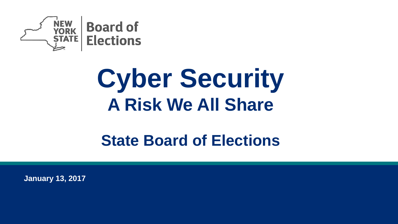

# **Cyber Security A Risk We All Share**

## **State Board of Elections**

**January 13, 2017**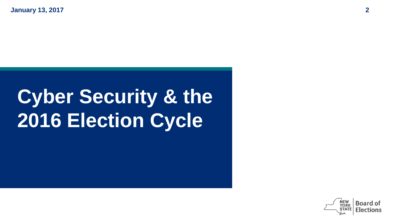**January 13, 2017 2**

## **Cyber Security & the 2016 Election Cycle**

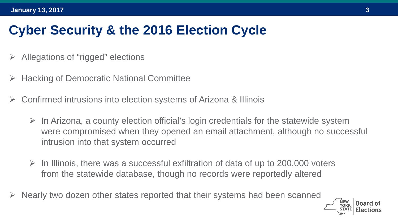## **Cyber Security & the 2016 Election Cycle**

- Allegations of "rigged" elections
- Hacking of Democratic National Committee
- Confirmed intrusions into election systems of Arizona & Illinois
	- $\triangleright$  In Arizona, a county election official's login credentials for the statewide system were compromised when they opened an email attachment, although no successful intrusion into that system occurred
	- $\triangleright$  In Illinois, there was a successful exfiltration of data of up to 200,000 voters from the statewide database, though no records were reportedly altered
- Nearly two dozen other states reported that their systems had been scanned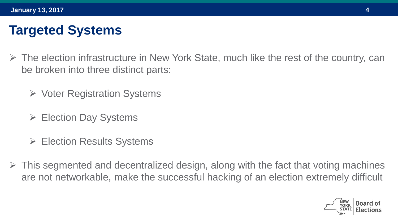## **Targeted Systems**

- $\triangleright$  The election infrastructure in New York State, much like the rest of the country, can be broken into three distinct parts:
	- $\triangleright$  Voter Registration Systems
	- Election Day Systems
	- **► Election Results Systems**
- $\triangleright$  This segmented and decentralized design, along with the fact that voting machines are not networkable, make the successful hacking of an election extremely difficult

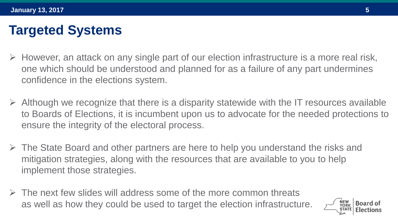## **Targeted Systems**

- $\triangleright$  However, an attack on any single part of our election infrastructure is a more real risk, one which should be understood and planned for as a failure of any part undermines confidence in the elections system.
- $\triangleright$  Although we recognize that there is a disparity statewide with the IT resources available to Boards of Elections, it is incumbent upon us to advocate for the needed protections to ensure the integrity of the electoral process.
- $\triangleright$  The State Board and other partners are here to help you understand the risks and mitigation strategies, along with the resources that are available to you to help implement those strategies.
- $\triangleright$  The next few slides will address some of the more common threats as well as how they could be used to target the election infrastructure.

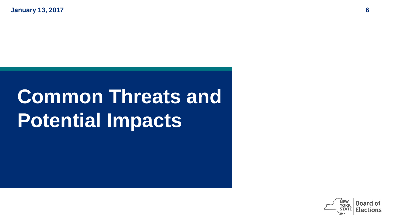**January 13, 2017 6**

## **Common Threats and Potential Impacts**

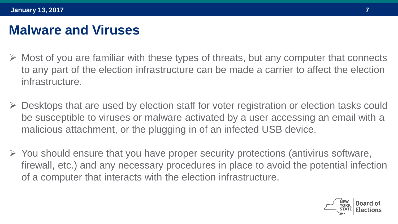#### **Malware and Viruses**

- $\triangleright$  Most of you are familiar with these types of threats, but any computer that connects to any part of the election infrastructure can be made a carrier to affect the election infrastructure.
- $\triangleright$  Desktops that are used by election staff for voter registration or election tasks could be susceptible to viruses or malware activated by a user accessing an email with a malicious attachment, or the plugging in of an infected USB device.
- $\triangleright$  You should ensure that you have proper security protections (antivirus software, firewall, etc.) and any necessary procedures in place to avoid the potential infection of a computer that interacts with the election infrastructure.

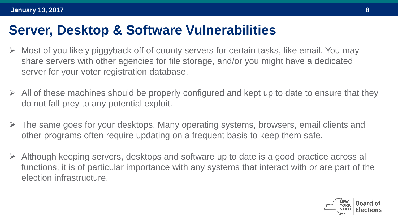#### **Server, Desktop & Software Vulnerabilities**

- $\triangleright$  Most of you likely piggyback off of county servers for certain tasks, like email. You may share servers with other agencies for file storage, and/or you might have a dedicated server for your voter registration database.
- $\triangleright$  All of these machines should be properly configured and kept up to date to ensure that they do not fall prey to any potential exploit.
- $\triangleright$  The same goes for your desktops. Many operating systems, browsers, email clients and other programs often require updating on a frequent basis to keep them safe.
- $\triangleright$  Although keeping servers, desktops and software up to date is a good practice across all functions, it is of particular importance with any systems that interact with or are part of the election infrastructure.

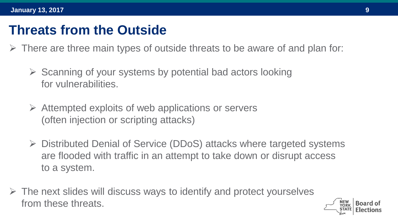- $\triangleright$  There are three main types of outside threats to be aware of and plan for:
	- $\triangleright$  Scanning of your systems by potential bad actors looking for vulnerabilities.
	- $\triangleright$  Attempted exploits of web applications or servers (often injection or scripting attacks)
	- Distributed Denial of Service (DDoS) attacks where targeted systems are flooded with traffic in an attempt to take down or disrupt access to a system.
- $\triangleright$  The next slides will discuss ways to identify and protect yourselves from these threats.

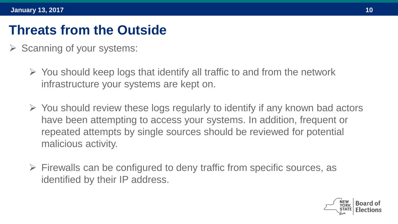- $\triangleright$  Scanning of your systems:
	- $\triangleright$  You should keep logs that identify all traffic to and from the network infrastructure your systems are kept on.
	- $\triangleright$  You should review these logs regularly to identify if any known bad actors have been attempting to access your systems. In addition, frequent or repeated attempts by single sources should be reviewed for potential malicious activity.
	- $\triangleright$  Firewalls can be configured to deny traffic from specific sources, as identified by their IP address.

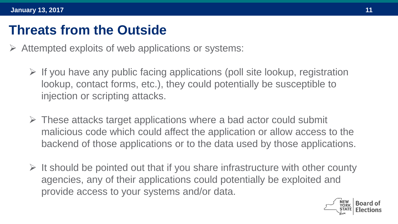- $\triangleright$  Attempted exploits of web applications or systems:
	- $\triangleright$  If you have any public facing applications (poll site lookup, registration lookup, contact forms, etc.), they could potentially be susceptible to injection or scripting attacks.
	- $\triangleright$  These attacks target applications where a bad actor could submit malicious code which could affect the application or allow access to the backend of those applications or to the data used by those applications.
	- $\triangleright$  It should be pointed out that if you share infrastructure with other county agencies, any of their applications could potentially be exploited and provide access to your systems and/or data.

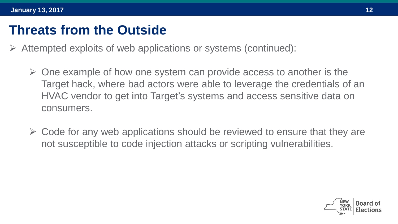- $\triangleright$  Attempted exploits of web applications or systems (continued):
	- $\triangleright$  One example of how one system can provide access to another is the Target hack, where bad actors were able to leverage the credentials of an HVAC vendor to get into Target's systems and access sensitive data on consumers.
	- $\triangleright$  Code for any web applications should be reviewed to ensure that they are not susceptible to code injection attacks or scripting vulnerabilities.

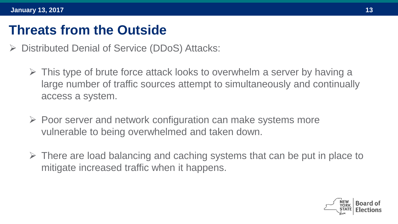- Distributed Denial of Service (DDoS) Attacks:
	- $\triangleright$  This type of brute force attack looks to overwhelm a server by having a large number of traffic sources attempt to simultaneously and continually access a system.
	- $\triangleright$  Poor server and network configuration can make systems more vulnerable to being overwhelmed and taken down.
	- $\triangleright$  There are load balancing and caching systems that can be put in place to mitigate increased traffic when it happens.

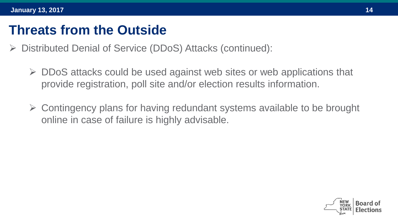- Distributed Denial of Service (DDoS) Attacks (continued):
	- $\triangleright$  DDoS attacks could be used against web sites or web applications that provide registration, poll site and/or election results information.
	- $\triangleright$  Contingency plans for having redundant systems available to be brought online in case of failure is highly advisable.

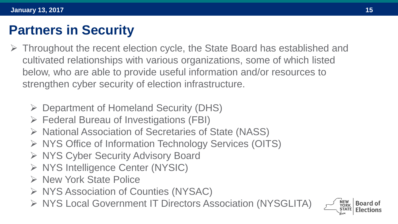## **Partners in Security**

- $\triangleright$  Throughout the recent election cycle, the State Board has established and cultivated relationships with various organizations, some of which listed below, who are able to provide useful information and/or resources to strengthen cyber security of election infrastructure.
	- Department of Homeland Security (DHS)
	- Federal Bureau of Investigations (FBI)
	- $\triangleright$  National Association of Secretaries of State (NASS)
	- ▶ NYS Office of Information Technology Services (OITS)
	- ▶ NYS Cyber Security Advisory Board
	- ▶ NYS Intelligence Center (NYSIC)
	- > New York State Police
	- $\triangleright$  NYS Association of Counties (NYSAC)
	- ▶ NYS Local Government IT Directors Association (NYSGLITA)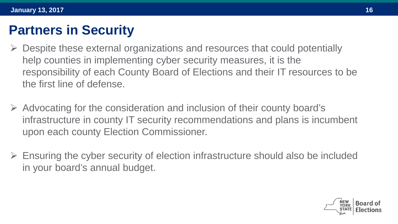#### **Partners in Security**

- Despite these external organizations and resources that could potentially help counties in implementing cyber security measures, it is the responsibility of each County Board of Elections and their IT resources to be the first line of defense.
- $\triangleright$  Advocating for the consideration and inclusion of their county board's infrastructure in county IT security recommendations and plans is incumbent upon each county Election Commissioner.
- $\triangleright$  Ensuring the cyber security of election infrastructure should also be included in your board's annual budget.

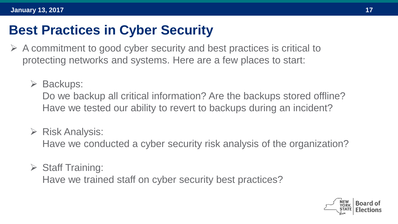### **Best Practices in Cyber Security**

- $\triangleright$  A commitment to good cyber security and best practices is critical to protecting networks and systems. Here are a few places to start:
	- **► Backups:**

Do we backup all critical information? Are the backups stored offline? Have we tested our ability to revert to backups during an incident?

 $\triangleright$  Risk Analysis:

Have we conducted a cyber security risk analysis of the organization?

 $\triangleright$  Staff Training:

Have we trained staff on cyber security best practices?

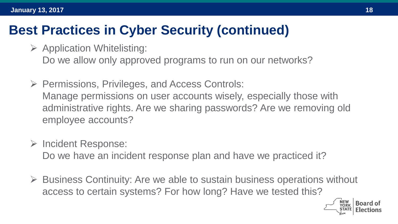#### **Best Practices in Cyber Security (continued)**

- $\triangleright$  Application Whitelisting: Do we allow only approved programs to run on our networks?
- $\triangleright$  Permissions, Privileges, and Access Controls: Manage permissions on user accounts wisely, especially those with administrative rights. Are we sharing passwords? Are we removing old employee accounts?
- $\triangleright$  Incident Response:

Do we have an incident response plan and have we practiced it?

 $\triangleright$  Business Continuity: Are we able to sustain business operations without access to certain systems? For how long? Have we tested this?

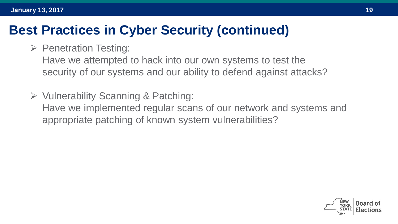#### **Best Practices in Cyber Security (continued)**

 $\triangleright$  Penetration Testing:

Have we attempted to hack into our own systems to test the security of our systems and our ability to defend against attacks?

 Vulnerability Scanning & Patching: Have we implemented regular scans of our network and systems and appropriate patching of known system vulnerabilities?